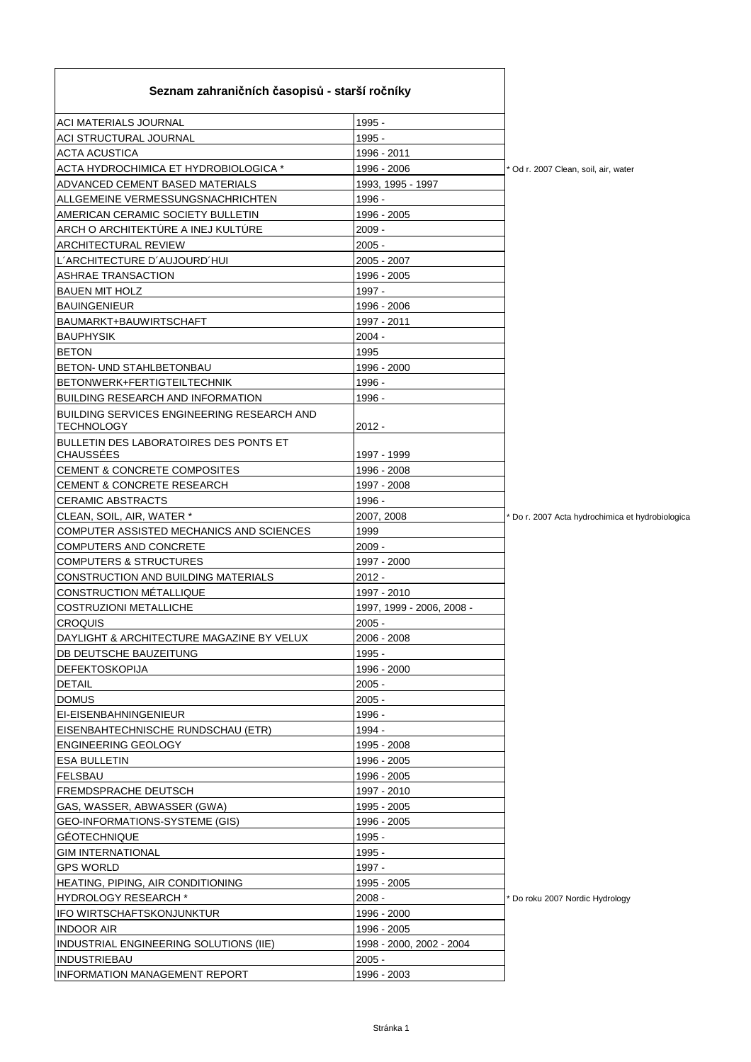| Seznam zahraničních časopisů - starší ročníky                   |                           |                                                |
|-----------------------------------------------------------------|---------------------------|------------------------------------------------|
| <b>ACI MATERIALS JOURNAL</b>                                    | 1995 -                    |                                                |
| <b>ACI STRUCTURAL JOURNAL</b>                                   | 1995 -                    |                                                |
| <b>ACTA ACUSTICA</b>                                            | 1996 - 2011               |                                                |
| ACTA HYDROCHIMICA ET HYDROBIOLOGICA *                           | 1996 - 2006               | Od r. 2007 Clean, soil, air, water             |
| ADVANCED CEMENT BASED MATERIALS                                 | 1993, 1995 - 1997         |                                                |
| ALLGEMEINE VERMESSUNGSNACHRICHTEN                               | 1996 -                    |                                                |
| AMERICAN CERAMIC SOCIETY BULLETIN                               | 1996 - 2005               |                                                |
| ARCH O ARCHITEKTÚRE A INEJ KULTÚRE                              | $2009 -$                  |                                                |
| <b>ARCHITECTURAL REVIEW</b>                                     | $2005 -$                  |                                                |
| L'ARCHITECTURE D'AUJOURD'HUI                                    | 2005 - 2007               |                                                |
| <b>ASHRAE TRANSACTION</b>                                       | 1996 - 2005               |                                                |
| <b>BAUEN MIT HOLZ</b>                                           | 1997 -                    |                                                |
| <b>BAUINGENIEUR</b>                                             | 1996 - 2006               |                                                |
| BAUMARKT+BAUWIRTSCHAFT                                          | 1997 - 2011               |                                                |
| <b>BAUPHYSIK</b>                                                | $2004 -$                  |                                                |
| <b>BETON</b>                                                    | 1995                      |                                                |
| BETON- UND STAHLBETONBAU                                        | 1996 - 2000               |                                                |
| BETONWERK+FERTIGTEILTECHNIK                                     | 1996 -                    |                                                |
| <b>BUILDING RESEARCH AND INFORMATION</b>                        | 1996 -                    |                                                |
| BUILDING SERVICES ENGINEERING RESEARCH AND<br><b>TECHNOLOGY</b> | $2012 -$                  |                                                |
| BULLETIN DES LABORATOIRES DES PONTS ET<br><b>CHAUSSÉES</b>      | 1997 - 1999               |                                                |
| CEMENT & CONCRETE COMPOSITES                                    | 1996 - 2008               |                                                |
| <b>CEMENT &amp; CONCRETE RESEARCH</b>                           | 1997 - 2008               |                                                |
| <b>CERAMIC ABSTRACTS</b>                                        | 1996 -                    |                                                |
| CLEAN, SOIL, AIR, WATER *                                       | 2007, 2008                | Do r. 2007 Acta hydrochimica et hydrobiologica |
| COMPUTER ASSISTED MECHANICS AND SCIENCES                        | 1999                      |                                                |
| COMPUTERS AND CONCRETE                                          | $2009 -$                  |                                                |
| <b>COMPUTERS &amp; STRUCTURES</b>                               | 1997 - 2000               |                                                |
| CONSTRUCTION AND BUILDING MATERIALS                             | $2012 -$                  |                                                |
| <b>CONSTRUCTION MÉTALLIQUE</b>                                  | 1997 - 2010               |                                                |
| <b>COSTRUZIONI METALLICHE</b>                                   | 1997, 1999 - 2006, 2008 - |                                                |
| <b>CROQUIS</b>                                                  | $2005 -$                  |                                                |
| DAYLIGHT & ARCHITECTURE MAGAZINE BY VELUX                       | 2006 - 2008               |                                                |
| DB DEUTSCHE BAUZEITUNG                                          | 1995 -                    |                                                |
| <b>DEFEKTOSKOPIJA</b>                                           | 1996 - 2000               |                                                |
| <b>DETAIL</b>                                                   | $2005 -$                  |                                                |
| <b>DOMUS</b>                                                    | $2005 -$                  |                                                |
| EI-EISENBAHNINGENIEUR                                           | 1996 -                    |                                                |
| EISENBAHTECHNISCHE RUNDSCHAU (ETR)                              | 1994 -                    |                                                |
| <b>ENGINEERING GEOLOGY</b>                                      | 1995 - 2008               |                                                |
| <b>ESA BULLETIN</b>                                             | 1996 - 2005               |                                                |
| FELSBAU                                                         | 1996 - 2005               |                                                |
| <b>FREMDSPRACHE DEUTSCH</b>                                     | 1997 - 2010               |                                                |
| GAS, WASSER, ABWASSER (GWA)                                     | 1995 - 2005               |                                                |
| GEO-INFORMATIONS-SYSTEME (GIS)                                  | 1996 - 2005               |                                                |
| <b>GEOTECHNIQUE</b>                                             | 1995 -                    |                                                |
| <b>GIM INTERNATIONAL</b>                                        | 1995 -                    |                                                |
| <b>GPS WORLD</b>                                                | 1997 -                    |                                                |
| HEATING, PIPING, AIR CONDITIONING                               | 1995 - 2005               |                                                |
| <b>HYDROLOGY RESEARCH *</b>                                     | 2008 -                    | Do roku 2007 Nordic Hydrology                  |
| IFO WIRTSCHAFTSKONJUNKTUR                                       | 1996 - 2000               |                                                |
| <b>INDOOR AIR</b>                                               | 1996 - 2005               |                                                |
| INDUSTRIAL ENGINEERING SOLUTIONS (IIE)                          | 1998 - 2000, 2002 - 2004  |                                                |
| <b>INDUSTRIEBAU</b>                                             | $2005 -$                  |                                                |
| <b>INFORMATION MANAGEMENT REPORT</b>                            | 1996 - 2003               |                                                |

ń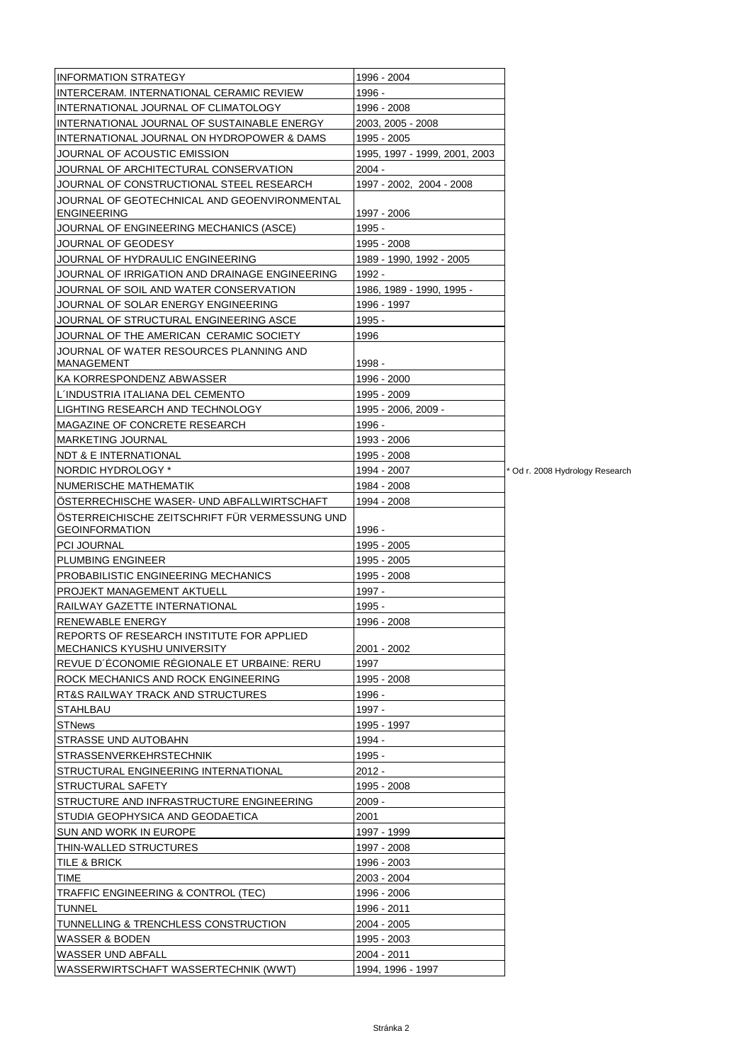| <b>INFORMATION STRATEGY</b>                    | 1996 - 2004                   |                               |
|------------------------------------------------|-------------------------------|-------------------------------|
| INTERCERAM. INTERNATIONAL CERAMIC REVIEW       | 1996 -                        |                               |
| INTERNATIONAL JOURNAL OF CLIMATOLOGY           | 1996 - 2008                   |                               |
| INTERNATIONAL JOURNAL OF SUSTAINABLE ENERGY    | 2003, 2005 - 2008             |                               |
| INTERNATIONAL JOURNAL ON HYDROPOWER & DAMS     | 1995 - 2005                   |                               |
| JOURNAL OF ACOUSTIC EMISSION                   | 1995. 1997 - 1999. 2001. 2003 |                               |
| JOURNAL OF ARCHITECTURAL CONSERVATION          | $2004 -$                      |                               |
| JOURNAL OF CONSTRUCTIONAL STEEL RESEARCH       | 1997 - 2002, 2004 - 2008      |                               |
| JOURNAL OF GEOTECHNICAL AND GEOENVIRONMENTAL   |                               |                               |
| <b>ENGINEERING</b>                             | 1997 - 2006                   |                               |
| JOURNAL OF ENGINEERING MECHANICS (ASCE)        | 1995 -                        |                               |
| JOURNAL OF GEODESY                             | 1995 - 2008                   |                               |
| JOURNAL OF HYDRAULIC ENGINEERING               | 1989 - 1990, 1992 - 2005      |                               |
| JOURNAL OF IRRIGATION AND DRAINAGE ENGINEERING | 1992 -                        |                               |
| JOURNAL OF SOIL AND WATER CONSERVATION         | 1986, 1989 - 1990, 1995 -     |                               |
| JOURNAL OF SOLAR ENERGY ENGINEERING            | 1996 - 1997                   |                               |
| JOURNAL OF STRUCTURAL ENGINEERING ASCE         | 1995 -                        |                               |
| JOURNAL OF THE AMERICAN  CERAMIC SOCIETY       | 1996                          |                               |
| JOURNAL OF WATER RESOURCES PLANNING AND        |                               |                               |
| MANAGEMENT                                     | 1998 -                        |                               |
| KA KORRESPONDENZ ABWASSER                      | 1996 - 2000                   |                               |
| L'INDUSTRIA ITALIANA DEL CEMENTO               | 1995 - 2009                   |                               |
| LIGHTING RESEARCH AND TECHNOLOGY               | 1995 - 2006, 2009 -           |                               |
| MAGAZINE OF CONCRETE RESEARCH                  | 1996 -                        |                               |
| <b>MARKETING JOURNAL</b>                       | 1993 - 2006                   |                               |
| NDT & E INTERNATIONAL                          | 1995 - 2008                   |                               |
| NORDIC HYDROLOGY *                             | 1994 - 2007                   | Od r. 2008 Hydrology Research |
| NUMERISCHE MATHEMATIK                          | 1984 - 2008                   |                               |
| OSTERRECHISCHE WASER- UND ABFALLWIRTSCHAFT     | 1994 - 2008                   |                               |
| ÖSTERREICHISCHE ZEITSCHRIFT FÜR VERMESSUNG UND |                               |                               |
| <b>GEOINFORMATION</b>                          | 1996 -                        |                               |
| <b>PCI JOURNAL</b>                             | 1995 - 2005                   |                               |
| <b>PLUMBING ENGINEER</b>                       | 1995 - 2005                   |                               |
| PROBABILISTIC ENGINEERING MECHANICS            | 1995 - 2008                   |                               |
| PROJEKT MANAGEMENT AKTUELL                     | 1997 -                        |                               |
| RAILWAY GAZETTE INTERNATIONAL                  | 1995 -                        |                               |
| RENEWABLE ENERGY                               | 1996 - 2008                   |                               |
| REPORTS OF RESEARCH INSTITUTE FOR APPLIED      |                               |                               |
| <b>MECHANICS KYUSHU UNIVERSITY</b>             | 2001 - 2002                   |                               |
| REVUE D'ECONOMIE REGIONALE ET URBAINE: RERU    | 1997                          |                               |
| ROCK MECHANICS AND ROCK ENGINEERING            | 1995 - 2008                   |                               |
| RT&S RAILWAY TRACK AND STRUCTURES              | 1996 -                        |                               |
| <b>STAHLBAU</b>                                | 1997 -                        |                               |
| <b>STNews</b>                                  | 1995 - 1997                   |                               |
| STRASSE UND AUTOBAHN                           | 1994 -                        |                               |
| <b>STRASSENVERKEHRSTECHNIK</b>                 | 1995 -                        |                               |
| STRUCTURAL ENGINEERING INTERNATIONAL           | $2012 -$                      |                               |
| STRUCTURAL SAFETY                              | 1995 - 2008                   |                               |
| STRUCTURE AND INFRASTRUCTURE ENGINEERING       | $2009 -$                      |                               |
| STUDIA GEOPHYSICA AND GEODAETICA               | 2001                          |                               |
| SUN AND WORK IN EUROPE                         | 1997 - 1999                   |                               |
| THIN-WALLED STRUCTURES                         | 1997 - 2008                   |                               |
| TILE & BRICK                                   | 1996 - 2003                   |                               |
| TIME                                           | 2003 - 2004                   |                               |
| TRAFFIC ENGINEERING & CONTROL (TEC)            | 1996 - 2006                   |                               |
| TUNNEL                                         | 1996 - 2011                   |                               |
| TUNNELLING & TRENCHLESS CONSTRUCTION           | 2004 - 2005                   |                               |
| WASSER & BODEN                                 | 1995 - 2003                   |                               |
| WASSER UND ABFALL                              | 2004 - 2011                   |                               |
| WASSERWIRTSCHAFT WASSERTECHNIK (WWT)           | 1994, 1996 - 1997             |                               |